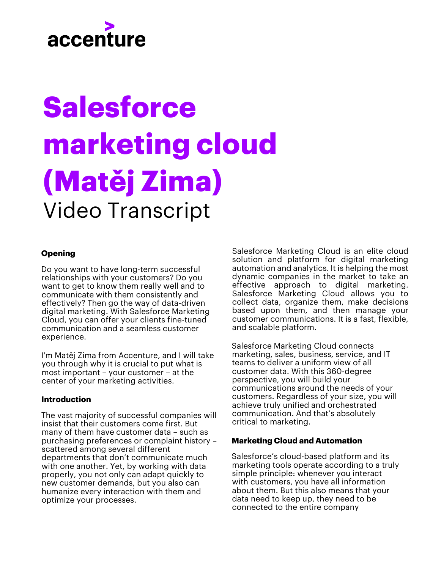## accenture

# **Salesforce marketing cloud (Matěj Zima)** Video Transcript

#### **Opening**

Do you want to have long-term successful relationships with your customers? Do you want to get to know them really well and to communicate with them consistently and effectively? Then go the way of data-driven digital marketing. With Salesforce Marketing Cloud, you can offer your clients fine-tuned communication and a seamless customer experience.

I'm Matěj Zima from Accenture, and I will take you through why it is crucial to put what is most important – your customer – at the center of your marketing activities.

#### **Introduction**

The vast majority of successful companies will insist that their customers come first. But many of them have customer data – such as purchasing preferences or complaint history – scattered among several different departments that don't communicate much with one another. Yet, by working with data properly, you not only can adapt quickly to new customer demands, but you also can humanize every interaction with them and optimize your processes.

Salesforce Marketing Cloud is an elite cloud solution and platform for digital marketing automation and analytics. It is helping the most dynamic companies in the market to take an effective approach to digital marketing. Salesforce Marketing Cloud allows you to collect data, organize them, make decisions based upon them, and then manage your customer communications. It is a fast, flexible, and scalable platform.

Salesforce Marketing Cloud connects marketing, sales, business, service, and IT teams to deliver a uniform view of all customer data. With this 360-degree perspective, you will build your communications around the needs of your customers. Regardless of your size, you will achieve truly unified and orchestrated communication. And that's absolutely critical to marketing.

#### **Marketing Cloud and Automation**

Salesforce's cloud-based platform and its marketing tools operate according to a truly simple principle: whenever you interact with customers, you have all information about them. But this also means that your data need to keep up, they need to be connected to the entire company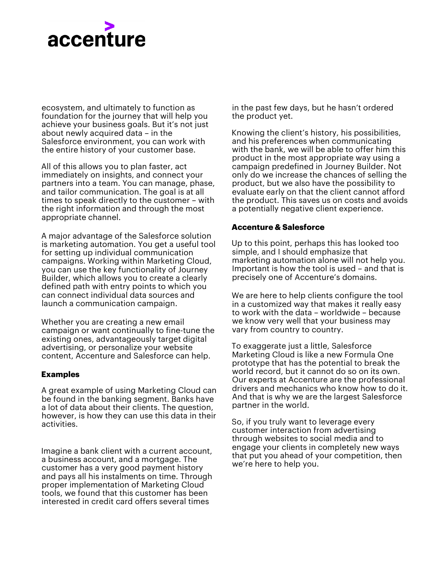### accenture

ecosystem, and ultimately to function as foundation for the journey that will help you achieve your business goals. But it's not just about newly acquired data – in the Salesforce environment, you can work with the entire history of your customer base.

All of this allows you to plan faster, act immediately on insights, and connect your partners into a team. You can manage, phase, and tailor communication. The goal is at all times to speak directly to the customer – with the right information and through the most appropriate channel.

A major advantage of the Salesforce solution is marketing automation. You get a useful tool for setting up individual communication campaigns. Working within Marketing Cloud, you can use the key functionality of Journey Builder, which allows you to create a clearly defined path with entry points to which you can connect individual data sources and launch a communication campaign.

Whether you are creating a new email campaign or want continually to fine-tune the existing ones, advantageously target digital advertising, or personalize your website content, Accenture and Salesforce can help.

#### **Examples**

A great example of using Marketing Cloud can be found in the banking segment. Banks have a lot of data about their clients. The question, however, is how they can use this data in their activities.

Imagine a bank client with a current account, a business account, and a mortgage. The customer has a very good payment history and pays all his instalments on time. Through proper implementation of Marketing Cloud tools, we found that this customer has been interested in credit card offers several times

in the past few days, but he hasn't ordered the product yet.

Knowing the client's history, his possibilities, and his preferences when communicating with the bank, we will be able to offer him this product in the most appropriate way using a campaign predefined in Journey Builder. Not only do we increase the chances of selling the product, but we also have the possibility to evaluate early on that the client cannot afford the product. This saves us on costs and avoids a potentially negative client experience.

#### **Accenture & Salesforce**

Up to this point, perhaps this has looked too simple, and I should emphasize that marketing automation alone will not help you. Important is how the tool is used – and that is precisely one of Accenture's domains.

We are here to help clients configure the tool in a customized way that makes it really easy to work with the data – worldwide – because we know very well that your business may vary from country to country.

To exaggerate just a little, Salesforce Marketing Cloud is like a new Formula One prototype that has the potential to break the world record, but it cannot do so on its own. Our experts at Accenture are the professional drivers and mechanics who know how to do it. And that is why we are the largest Salesforce partner in the world.

So, if you truly want to leverage every customer interaction from advertising through websites to social media and to engage your clients in completely new ways that put you ahead of your competition, then we're here to help you.